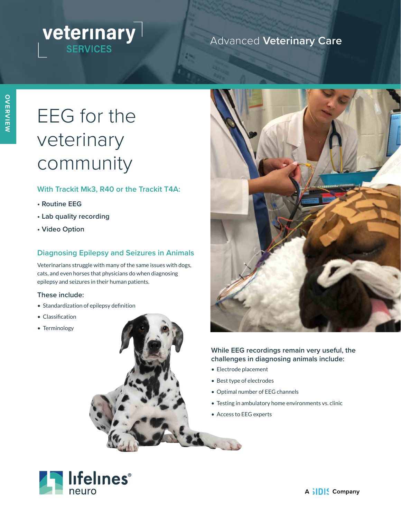# **veterinary**

### Advanced **Veterinary Care**

# EEG for the veterinary community

#### **With Trackit Mk3, R40 or the Trackit T4A:**

- **Routine EEG**
- **Lab quality recording**
- **Video Option**

#### **Diagnosing Epilepsy and Seizures in Animals**

Veterinarians struggle with many of the same issues with dogs, cats, and even horses that physicians do when diagnosing epilepsy and seizures in their human patients.

#### **These include:**

- Standardization of epilepsy definition
- Classification
- Terminology





#### **While EEG recordings remain very useful, the challenges in diagnosing animals include:**

- Electrode placement
- Best type of electrodes
- Optimal number of EEG channels
- Testing in ambulatory home environments vs. clinic
- Access to EEG experts